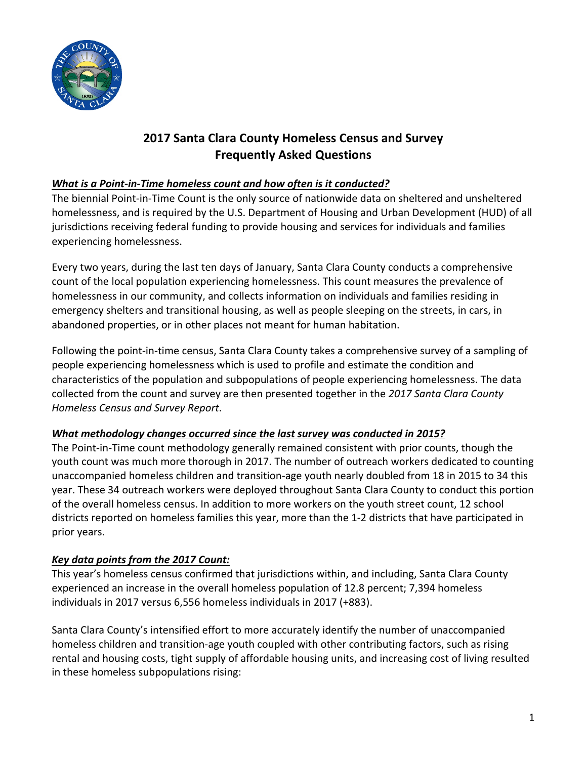

# **2017 Santa Clara County Homeless Census and Survey Frequently Asked Questions**

## *What is a Point-in-Time homeless count and how often is it conducted?*

The biennial Point-in-Time Count is the only source of nationwide data on sheltered and unsheltered homelessness, and is required by the U.S. Department of Housing and Urban Development (HUD) of all jurisdictions receiving federal funding to provide housing and services for individuals and families experiencing homelessness.

Every two years, during the last ten days of January, Santa Clara County conducts a comprehensive count of the local population experiencing homelessness. This count measures the prevalence of homelessness in our community, and collects information on individuals and families residing in emergency shelters and transitional housing, as well as people sleeping on the streets, in cars, in abandoned properties, or in other places not meant for human habitation.

Following the point-in-time census, Santa Clara County takes a comprehensive survey of a sampling of people experiencing homelessness which is used to profile and estimate the condition and characteristics of the population and subpopulations of people experiencing homelessness. The data collected from the count and survey are then presented together in the *2017 Santa Clara County Homeless Census and Survey Report*.

## *What methodology changes occurred since the last survey was conducted in 2015?*

The Point-in-Time count methodology generally remained consistent with prior counts, though the youth count was much more thorough in 2017. The number of outreach workers dedicated to counting unaccompanied homeless children and transition-age youth nearly doubled from 18 in 2015 to 34 this year. These 34 outreach workers were deployed throughout Santa Clara County to conduct this portion of the overall homeless census. In addition to more workers on the youth street count, 12 school districts reported on homeless families this year, more than the 1-2 districts that have participated in prior years.

## *Key data points from the 2017 Count:*

This year's homeless census confirmed that jurisdictions within, and including, Santa Clara County experienced an increase in the overall homeless population of 12.8 percent; 7,394 homeless individuals in 2017 versus 6,556 homeless individuals in 2017 (+883).

Santa Clara County's intensified effort to more accurately identify the number of unaccompanied homeless children and transition-age youth coupled with other contributing factors, such as rising rental and housing costs, tight supply of affordable housing units, and increasing cost of living resulted in these homeless subpopulations rising: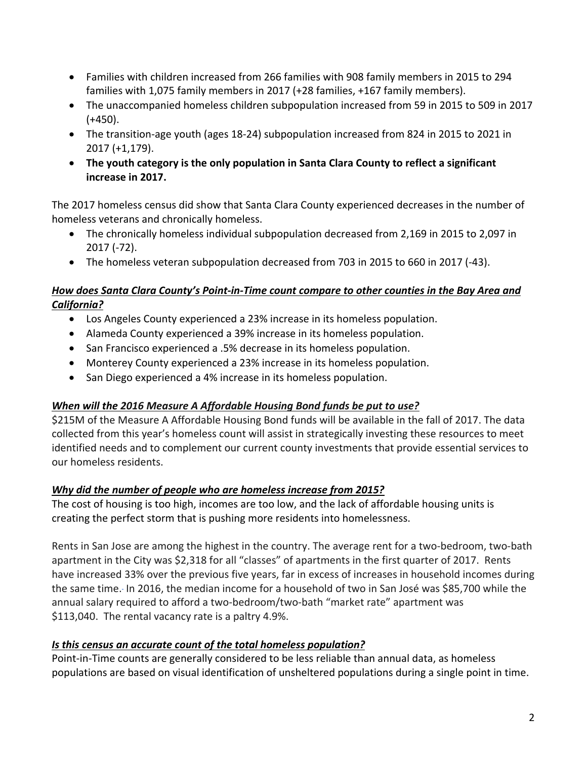- Families with children increased from 266 families with 908 family members in 2015 to 294 families with 1,075 family members in 2017 (+28 families, +167 family members).
- The unaccompanied homeless children subpopulation increased from 59 in 2015 to 509 in 2017  $(+450)$ .
- The transition-age youth (ages 18-24) subpopulation increased from 824 in 2015 to 2021 in 2017 (+1,179).
- **The youth category is the only population in Santa Clara County to reflect a significant increase in 2017.**

The 2017 homeless census did show that Santa Clara County experienced decreases in the number of homeless veterans and chronically homeless.

- The chronically homeless individual subpopulation decreased from 2,169 in 2015 to 2,097 in 2017 (-72).
- The homeless veteran subpopulation decreased from 703 in 2015 to 660 in 2017 (-43).

#### *How does Santa Clara County's Point-in-Time count compare to other counties in the Bay Area and California?*

- Los Angeles County experienced a 23% increase in its homeless population.
- Alameda County experienced a 39% increase in its homeless population.
- San Francisco experienced a .5% decrease in its homeless population.
- Monterey County experienced a 23% increase in its homeless population.
- San Diego experienced a 4% increase in its homeless population.

## *When will the 2016 Measure A Affordable Housing Bond funds be put to use?*

\$215M of the Measure A Affordable Housing Bond funds will be available in the fall of 2017. The data collected from this year's homeless count will assist in strategically investing these resources to meet identified needs and to complement our current county investments that provide essential services to our homeless residents.

## *Why did the number of people who are homeless increase from 2015?*

The cost of housing is too high, incomes are too low, and the lack of affordable housing units is creating the perfect storm that is pushing more residents into homelessness.

Rents in San Jose are among the highest in the country. The average rent for a two-bedroom, two-bath apartment in the City was \$2,318 for all "classes" of apartments in the first quarter of 2017. Rents have increased 33% over the previous five years, far in excess of increases in household incomes during the same time. In 2016, the median income for a household of two in San José was \$85,700 while the annual salary required to afford a two-bedroom/two-bath "market rate" apartment was \$113,040. The rental vacancy rate is a paltry 4.9%.

## *Is this census an accurate count of the total homeless population?*

Point-in-Time counts are generally considered to be less reliable than annual data, as homeless populations are based on visual identification of unsheltered populations during a single point in time.